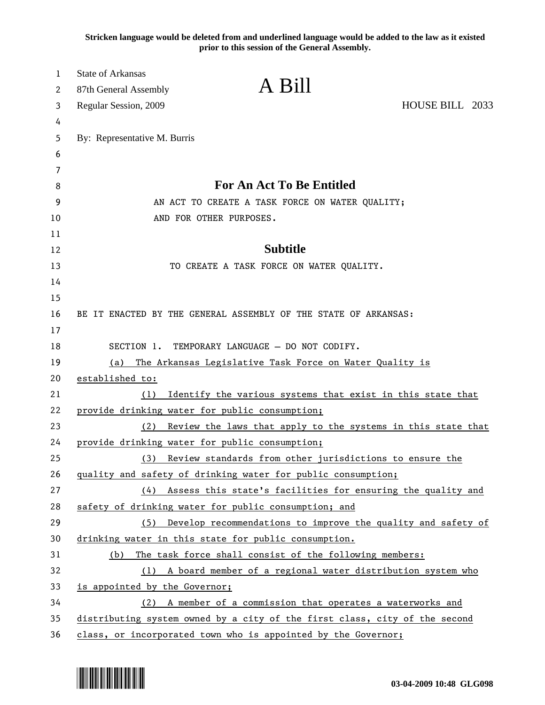**Stricken language would be deleted from and underlined language would be added to the law as it existed prior to this session of the General Assembly.**

| $\mathbf{1}$<br>2 | <b>State of Arkansas</b><br>87th General Assembly                          | A Bill                                                                     |                 |
|-------------------|----------------------------------------------------------------------------|----------------------------------------------------------------------------|-----------------|
| 3                 | Regular Session, 2009                                                      |                                                                            | HOUSE BILL 2033 |
| 4                 |                                                                            |                                                                            |                 |
| 5                 | By: Representative M. Burris                                               |                                                                            |                 |
| 6                 |                                                                            |                                                                            |                 |
| 7                 |                                                                            | <b>For An Act To Be Entitled</b>                                           |                 |
| 8<br>9            |                                                                            |                                                                            |                 |
| 10                | AN ACT TO CREATE A TASK FORCE ON WATER QUALITY;<br>AND FOR OTHER PURPOSES. |                                                                            |                 |
| 11                |                                                                            |                                                                            |                 |
| 12                |                                                                            | <b>Subtitle</b>                                                            |                 |
| 13                |                                                                            | TO CREATE A TASK FORCE ON WATER QUALITY.                                   |                 |
| 14                |                                                                            |                                                                            |                 |
| 15                |                                                                            |                                                                            |                 |
| 16                |                                                                            | BE IT ENACTED BY THE GENERAL ASSEMBLY OF THE STATE OF ARKANSAS:            |                 |
| 17                |                                                                            |                                                                            |                 |
| 18                |                                                                            | SECTION 1. TEMPORARY LANGUAGE - DO NOT CODIFY.                             |                 |
| 19                | The Arkansas Legislative Task Force on Water Quality is<br>(a)             |                                                                            |                 |
| 20                | established to:                                                            |                                                                            |                 |
| 21                | (1)                                                                        | Identify the various systems that exist in this state that                 |                 |
| 22                | provide drinking water for public consumption;                             |                                                                            |                 |
| 23                | (2)                                                                        | Review the laws that apply to the systems in this state that               |                 |
| 24                | provide drinking water for public consumption;                             |                                                                            |                 |
| 25                | (3)                                                                        | Review standards from other jurisdictions to ensure the                    |                 |
| 26                |                                                                            | quality and safety of drinking water for public consumption;               |                 |
| 27                |                                                                            | (4) Assess this state's facilities for ensuring the quality and            |                 |
| 28                |                                                                            | safety of drinking water for public consumption; and                       |                 |
| 29                | (5)                                                                        | Develop recommendations to improve the quality and safety of               |                 |
| 30                |                                                                            | drinking water in this state for public consumption.                       |                 |
| 31                | (b)                                                                        | The task force shall consist of the following members:                     |                 |
| 32<br>33          |                                                                            | (1) A board member of a regional water distribution system who             |                 |
| 34                | is appointed by the Governor;                                              | (2) A member of a commission that operates a waterworks and                |                 |
| 35                |                                                                            | distributing system owned by a city of the first class, city of the second |                 |
|                   |                                                                            |                                                                            |                 |

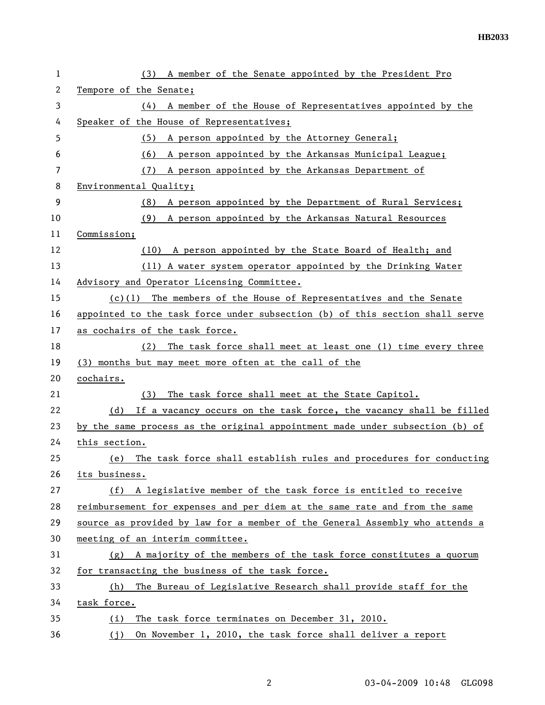| 1  | A member of the Senate appointed by the President Pro<br>(3)                 |  |  |
|----|------------------------------------------------------------------------------|--|--|
| 2  | Tempore of the Senate;                                                       |  |  |
| 3  | A member of the House of Representatives appointed by the<br>(4)             |  |  |
| 4  | Speaker of the House of Representatives;                                     |  |  |
| 5  | A person appointed by the Attorney General;<br>(5)                           |  |  |
| 6  | A person appointed by the Arkansas Municipal League;<br>(6)                  |  |  |
| 7  | A person appointed by the Arkansas Department of<br>(7)                      |  |  |
| 8  | Environmental Quality;                                                       |  |  |
| 9  | (8) A person appointed by the Department of Rural Services;                  |  |  |
| 10 | A person appointed by the Arkansas Natural Resources<br>(9)                  |  |  |
| 11 | Commission;                                                                  |  |  |
| 12 | (10) A person appointed by the State Board of Health; and                    |  |  |
| 13 | (11) A water system operator appointed by the Drinking Water                 |  |  |
| 14 | Advisory and Operator Licensing Committee.                                   |  |  |
| 15 | $(c)(1)$ The members of the House of Representatives and the Senate          |  |  |
| 16 | appointed to the task force under subsection (b) of this section shall serve |  |  |
| 17 | as cochairs of the task force.                                               |  |  |
| 18 | The task force shall meet at least one (1) time every three<br>(2)           |  |  |
| 19 | (3) months but may meet more often at the call of the                        |  |  |
| 20 | cochairs.                                                                    |  |  |
| 21 | The task force shall meet at the State Capitol.<br>(3)                       |  |  |
| 22 | If a vacancy occurs on the task force, the vacancy shall be filled<br>(d)    |  |  |
| 23 | by the same process as the original appointment made under subsection (b) of |  |  |
| 24 | this section.                                                                |  |  |
| 25 | The task force shall establish rules and procedures for conducting<br>(e)    |  |  |
| 26 | its business.                                                                |  |  |
| 27 | (f) A legislative member of the task force is entitled to receive            |  |  |
| 28 | reimbursement for expenses and per diem at the same rate and from the same   |  |  |
| 29 | source as provided by law for a member of the General Assembly who attends a |  |  |
| 30 | meeting of an interim committee.                                             |  |  |
| 31 | A majority of the members of the task force constitutes a quorum<br>(g)      |  |  |
| 32 | for transacting the business of the task force.                              |  |  |
| 33 | The Bureau of Legislative Research shall provide staff for the<br>(h)        |  |  |
| 34 | task force.                                                                  |  |  |
| 35 | The task force terminates on December 31, 2010.<br>(i)                       |  |  |
| 36 | (j) On November 1, 2010, the task force shall deliver a report               |  |  |